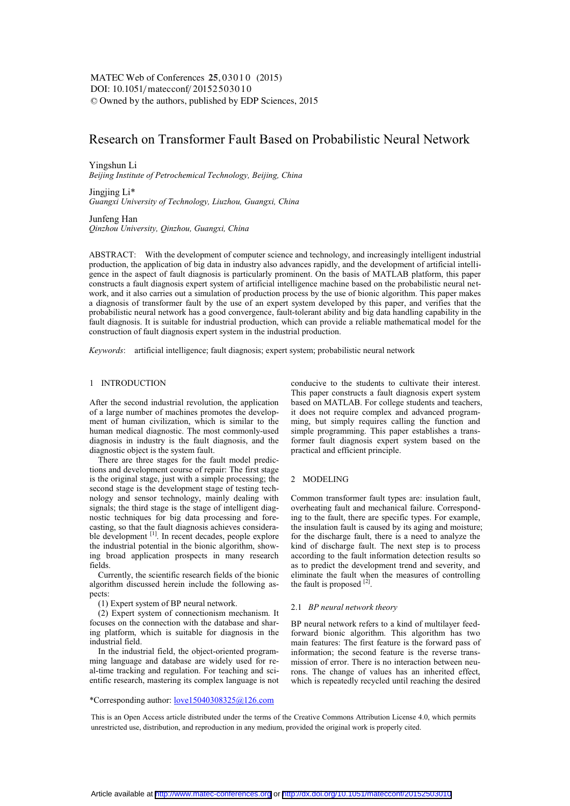DOI: 10.1051/ matecconf/ 20152503010 -<sup>C</sup> Owned by the authors, published by EDP Sciences, 2015 MATEC Web of Conferences 25,03010 (2015)

# Research on Transformer Fault Based on Probabilistic Neural Network

Yingshun Li *Beijing Institute of Petrochemical Technology, Beijing, China* 

Jingjing Li\* *Guangxi University of Technology, Liuzhou, Guangxi, China* 

Junfeng Han *Qinzhou University, Qinzhou, Guangxi, China* 

ABSTRACT: With the development of computer science and technology, and increasingly intelligent industrial production, the application of big data in industry also advances rapidly, and the development of artificial intelligence in the aspect of fault diagnosis is particularly prominent. On the basis of MATLAB platform, this paper constructs a fault diagnosis expert system of artificial intelligence machine based on the probabilistic neural network, and it also carries out a simulation of production process by the use of bionic algorithm. This paper makes a diagnosis of transformer fault by the use of an expert system developed by this paper, and verifies that the probabilistic neural network has a good convergence, fault-tolerant ability and big data handling capability in the fault diagnosis. It is suitable for industrial production, which can provide a reliable mathematical model for the construction of fault diagnosis expert system in the industrial production.

*Keywords*: artificial intelligence; fault diagnosis; expert system; probabilistic neural network

# 1 INTRODUCTION

After the second industrial revolution, the application of a large number of machines promotes the development of human civilization, which is similar to the human medical diagnostic. The most commonly-used diagnosis in industry is the fault diagnosis, and the diagnostic object is the system fault.

There are three stages for the fault model predictions and development course of repair: The first stage is the original stage, just with a simple processing; the second stage is the development stage of testing technology and sensor technology, mainly dealing with signals; the third stage is the stage of intelligent diagnostic techniques for big data processing and forecasting, so that the fault diagnosis achieves considerable development  $\left[1\right]$ . In recent decades, people explore the industrial potential in the bionic algorithm, showing broad application prospects in many research fields.

Currently, the scientific research fields of the bionic algorithm discussed herein include the following aspects:

(1) Expert system of BP neural network.

(2) Expert system of connectionism mechanism. It focuses on the connection with the database and sharing platform, which is suitable for diagnosis in the industrial field.

In the industrial field, the object-oriented programming language and database are widely used for real-time tracking and regulation. For teaching and scientific research, mastering its complex language is not

\*Corresponding author: love15040308325@126.com

conducive to the students to cultivate their interest. This paper constructs a fault diagnosis expert system based on MATLAB. For college students and teachers, it does not require complex and advanced programming, but simply requires calling the function and simple programming. This paper establishes a transformer fault diagnosis expert system based on the practical and efficient principle.

## 2 MODELING

Common transformer fault types are: insulation fault, overheating fault and mechanical failure. Corresponding to the fault, there are specific types. For example, the insulation fault is caused by its aging and moisture; for the discharge fault, there is a need to analyze the kind of discharge fault. The next step is to process according to the fault information detection results so as to predict the development trend and severity, and eliminate the fault when the measures of controlling the fault is proposed [2].

#### 2.1 *BP neural network theory*

BP neural network refers to a kind of multilayer feedforward bionic algorithm. This algorithm has two main features: The first feature is the forward pass of information; the second feature is the reverse transmission of error. There is no interaction between neurons. The change of values has an inherited effect, which is repeatedly recycled until reaching the desired

This is an Open Access article distributed under the terms of the Creative Commons Attribution License 4.0, which permits unrestricted use, distribution, and reproduction in any medium, provided the original work is properly cited.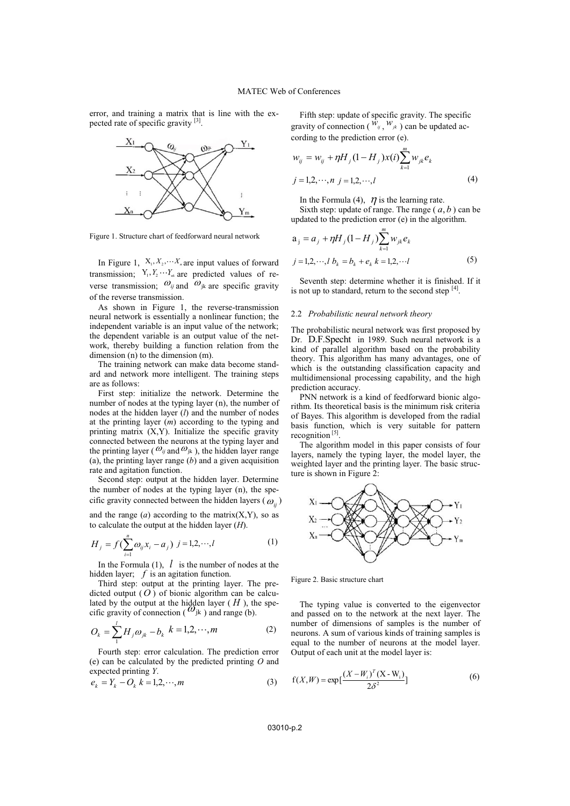error, and training a matrix that is line with the expected rate of specific gravity [3].



Figure 1. Structure chart of feedforward neural network

In Figure 1,  $X_1, X_2, \cdots, X_n$  are input values of forward transmission;  $Y_1, Y_2 \cdots Y_m$  are predicted values of reverse transmission;  $\omega_{ij}$  and  $\omega_{jk}$  are specific gravity of the reverse transmission.

As shown in Figure 1, the reverse-transmission neural network is essentially a nonlinear function; the independent variable is an input value of the network; the dependent variable is an output value of the network, thereby building a function relation from the dimension (n) to the dimension (m).

The training network can make data become standard and network more intelligent. The training steps are as follows:

First step: initialize the network. Determine the number of nodes at the typing layer (n), the number of nodes at the hidden layer (*l*) and the number of nodes at the printing layer (*m*) according to the typing and printing matrix  $(X, Y)$ . Initialize the specific gravity connected between the neurons at the typing layer and the printing layer ( $\omega_{ij}$  and  $\omega_{jk}$ ), the hidden layer range (a), the printing layer range (*b*) and a given acquisition rate and agitation function.

Second step: output at the hidden layer. Determine the number of nodes at the typing layer (n), the specific gravity connected between the hidden layers ( $\omega_{ij}$ )

and the range  $(a)$  according to the matrix $(X, Y)$ , so as to calculate the output at the hidden layer (*H*).

$$
H_j = f(\sum_{i=1}^n \omega_{ij} x_i - a_j) \ j = 1, 2, \cdots, l \tag{1}
$$

In the Formula  $(1)$ ,  $\hat{l}$  is the number of nodes at the hidden layer; *f* is an agitation function.

Third step: output at the printing layer. The predicted output  $(O)$  of bionic algorithm can be calculated by the output at the hidden layer  $(H)$ , the specific gravity of connection ( $\omega_{jk}$ ) and range (b).

$$
O_k = \sum_{1}^{l} H_j \omega_{jk} - b_k \ k = 1, 2, \cdots, m
$$
 (2)

Fourth step: error calculation. The prediction error (e) can be calculated by the predicted printing *O* and expected printing *Y*.

$$
e_k = Y_k - O_k \ k = 1, 2, \cdots, m \tag{3}
$$

Fifth step: update of specific gravity. The specific gravity of connection ( $\hat{W}_{ij}$ ,  $W_{jk}$ ) can be updated according to the prediction error (e).

$$
w_{ij} = w_{ij} + \eta H_j (1 - H_j) x(i) \sum_{k=1}^{m} w_{jk} e_k
$$
  
\n
$$
j = 1, 2, \dots, n \quad j = 1, 2, \dots, l \tag{4}
$$

In the Formula (4),  $\eta$  is the learning rate.

Sixth step: update of range. The range  $(a, b)$  can be updated to the prediction error (e) in the algorithm.

$$
a_{j} = a_{j} + \eta H_{j} (1 - H_{j}) \sum_{k=1}^{m} w_{jk} e_{k}
$$
  

$$
j = 1, 2, \dots, l \ b_{k} = b_{k} + e_{k} k = 1, 2, \dots l
$$
 (5)

Seventh step: determine whether it is finished. If it is not up to standard, return to the second step  $[4]$ .

#### 2.2 *Probabilistic neural network theory*

The probabilistic neural network was first proposed by Dr. D.F.Specht in 1989. Such neural network is a kind of parallel algorithm based on the probability theory. This algorithm has many advantages, one of which is the outstanding classification capacity and multidimensional processing capability, and the high prediction accuracy.

PNN network is a kind of feedforward bionic algorithm. Its theoretical basis is the minimum risk criteria of Bayes. This algorithm is developed from the radial basis function, which is very suitable for pattern recognition  $[5]$ .

The algorithm model in this paper consists of four layers, namely the typing layer, the model layer, the weighted layer and the printing layer. The basic structure is shown in Figure 2:



Figure 2. Basic structure chart

The typing value is converted to the eigenvector and passed on to the network at the next layer. The number of dimensions of samples is the number of neurons. A sum of various kinds of training samples is equal to the number of neurons at the model layer. Output of each unit at the model layer is:

$$
f(X,W) = \exp\left[\frac{(X - W_i)^T (X - W_i)}{2\delta^2}\right]
$$
 (6)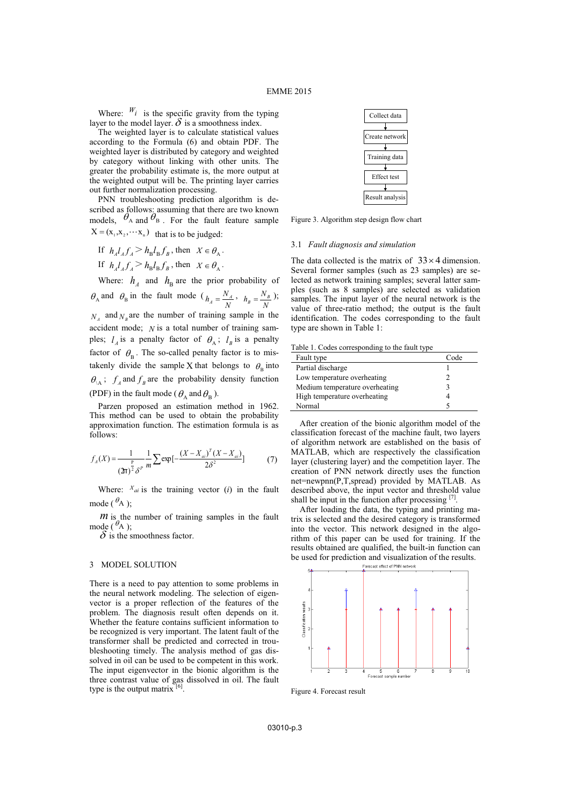Where:  $W_i$  is the specific gravity from the typing layer to the model layer.  $\delta$  is a smoothness index.

The weighted layer is to calculate statistical values according to the Formula (6) and obtain PDF. The weighted layer is distributed by category and weighted by category without linking with other units. The greater the probability estimate is, the more output at the weighted output will be. The printing layer carries out further normalization processing.

PNN troubleshooting prediction algorithm is described as follows: assuming that there are two known models,  $\theta_A$  and  $\theta_B$ . For the fault feature sample  $X = (x_1, x_2, \cdots x_n)$  that is to be judged:

- If  $h_A l_A f_A > h_B l_B f_B$ , then  $X \in \theta_A$ .
- If  $h_A l_A f_A \geq h_B l_B f_B$ , then  $X \in \theta_A$ .

Where:  $h_{\mu}$  and  $h_{\mu}$  are the prior probability of  $\theta_A$  and  $\theta_B$  in the fault mode ( $h_A = \frac{N_A}{N}$ ,  $h_B = \frac{N_B}{N}$ );

 $N_A$  and  $N_B$  are the number of training sample in the accident mode; *N* is a total number of training samples;  $l_A$  is a penalty factor of  $\theta_A$ ;  $l_B$  is a penalty factor of  $\theta_{\rm B}$ . The so-called penalty factor is to mistakenly divide the sample X that belongs to  $\theta_{\rm p}$  into  $\theta_{\rm A}$ ;  $f_A$  and  $f_B$  are the probability density function (PDF) in the fault mode ( $\theta_{\rm A}$  and  $\theta_{\rm B}$ ).

Parzen proposed an estimation method in 1962. This method can be used to obtain the probability approximation function. The estimation formula is as follows:

$$
f_A(X) = \frac{1}{(2\pi)^{\frac{p}{2}} \delta^p} \frac{1}{m} \sum \exp\left[-\frac{(X - X_{ai})^T (X - X_{ai})}{2\delta^2}\right]
$$
(7)

Where:  $X_{ai}$  is the training vector (*i*) in the fault mode ( $\theta$ A);

*m* is the number of training samples in the fault mode ( $\theta$ A);

 $\delta$  is the smoothness factor.

#### 3 MODEL SOLUTION

There is a need to pay attention to some problems in the neural network modeling. The selection of eigenvector is a proper reflection of the features of the problem. The diagnosis result often depends on it. Whether the feature contains sufficient information to be recognized is very important. The latent fault of the transformer shall be predicted and corrected in troubleshooting timely. The analysis method of gas dissolved in oil can be used to be competent in this work. The input eigenvector in the bionic algorithm is the three contrast value of gas dissolved in oil. The fault type is the output matrix<sup>[6]</sup>.



Figure 3. Algorithm step design flow chart

## 3.1 *Fault diagnosis and simulation*

The data collected is the matrix of  $33 \times 4$  dimension. Several former samples (such as 23 samples) are selected as network training samples; several latter samples (such as 8 samples) are selected as validation samples. The input layer of the neural network is the value of three-ratio method; the output is the fault identification. The codes corresponding to the fault type are shown in Table 1:

Table 1. Codes corresponding to the fault type

| Fault type                     | Code |
|--------------------------------|------|
| Partial discharge              |      |
| Low temperature overheating    |      |
| Medium temperature overheating |      |
| High temperature overheating   |      |
| Normal                         |      |

After creation of the bionic algorithm model of the classification forecast of the machine fault, two layers of algorithm network are established on the basis of MATLAB, which are respectively the classification layer (clustering layer) and the competition layer. The creation of PNN network directly uses the function net=newpnn(P,T,spread) provided by MATLAB. As described above, the input vector and threshold value shall be input in the function after processing  $\left[\right]$ 

After loading the data, the typing and printing matrix is selected and the desired category is transformed into the vector. This network designed in the algorithm of this paper can be used for training. If the results obtained are qualified, the built-in function can be used for prediction and visualization of the results.



Figure 4. Forecast result